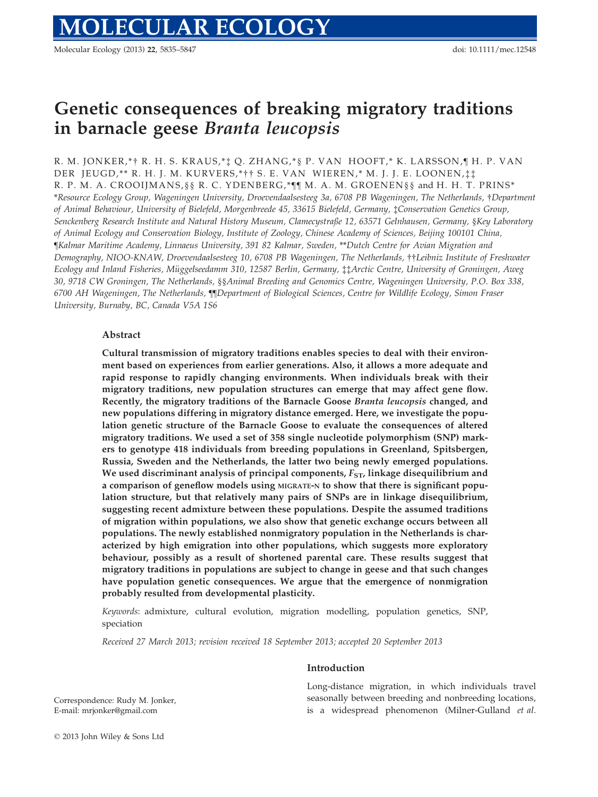Molecular Ecology (2013) 22, 5835–5847 doi: 10.1111/mec.12548

# Genetic consequences of breaking migratory traditions in barnacle geese Branta leucopsis

R. M. JONKER,\*† R. H. S. KRAUS,\*‡ Q. ZHANG,\*§ P. VAN HOOFT,\* K. LARSSON, ¶ H. P. VAN DER JEUGD,\*\* R. H. J. M. KURVERS,\*†† S. E. VAN WIEREN,\* M. J. J. E. LOONEN,‡‡ R. P. M. A. CROOIJMANS, § § R. C. YDENBERG, \* [[ M. A. M. GROENEN § § and H. H. T. PRINS\* \*Resource Ecology Group, Wageningen University, Droevendaalsesteeg 3a, 6708 PB Wageningen, The Netherlands, †Department of Animal Behaviour, University of Bielefeld, Morgenbreede 45, 33615 Bielefeld, Germany, ‡Conservation Genetics Group, Senckenberg Research Institute and Natural History Museum, Clamecystraße 12, 63571 Gelnhausen, Germany, §Key Laboratory of Animal Ecology and Conservation Biology, Institute of Zoology, Chinese Academy of Sciences, Beijing 100101 China, ¶Kalmar Maritime Academy, Linnaeus University, 391 82 Kalmar, Sweden, \*\*Dutch Centre for Avian Migration and Demography, NIOO-KNAW, Droevendaalsesteeg 10, 6708 PB Wageningen, The Netherlands, ††Leibniz Institute of Freshwater Ecology and Inland Fisheries, Muggelseedamm 310, 12587 Berlin, Germany, € ‡‡Arctic Centre, University of Groningen, Aweg 30, 9718 CW Groningen, The Netherlands, §§Animal Breeding and Genomics Centre, Wageningen University, P.O. Box 338, 6700 AH Wageningen, The Netherlands, ¶¶Department of Biological Sciences, Centre for Wildlife Ecology, Simon Fraser University, Burnaby, BC, Canada V5A 1S6

# Abstract

Cultural transmission of migratory traditions enables species to deal with their environment based on experiences from earlier generations. Also, it allows a more adequate and rapid response to rapidly changing environments. When individuals break with their migratory traditions, new population structures can emerge that may affect gene flow. Recently, the migratory traditions of the Barnacle Goose Branta leucopsis changed, and new populations differing in migratory distance emerged. Here, we investigate the population genetic structure of the Barnacle Goose to evaluate the consequences of altered migratory traditions. We used a set of 358 single nucleotide polymorphism (SNP) markers to genotype 418 individuals from breeding populations in Greenland, Spitsbergen, Russia, Sweden and the Netherlands, the latter two being newly emerged populations. We used discriminant analysis of principal components,  $F_{ST}$ , linkage disequilibrium and a comparison of geneflow models using MIGRATE-N to show that there is significant population structure, but that relatively many pairs of SNPs are in linkage disequilibrium, suggesting recent admixture between these populations. Despite the assumed traditions of migration within populations, we also show that genetic exchange occurs between all populations. The newly established nonmigratory population in the Netherlands is characterized by high emigration into other populations, which suggests more exploratory behaviour, possibly as a result of shortened parental care. These results suggest that migratory traditions in populations are subject to change in geese and that such changes have population genetic consequences. We argue that the emergence of nonmigration probably resulted from developmental plasticity.

Keywords: admixture, cultural evolution, migration modelling, population genetics, SNP, speciation

Received 27 March 2013; revision received 18 September 2013; accepted 20 September 2013

# Introduction

Correspondence: Rudy M. Jonker, E-mail: mrjonker@gmail.com

Long-distance migration, in which individuals travel seasonally between breeding and nonbreeding locations, is a widespread phenomenon (Milner-Gulland et al.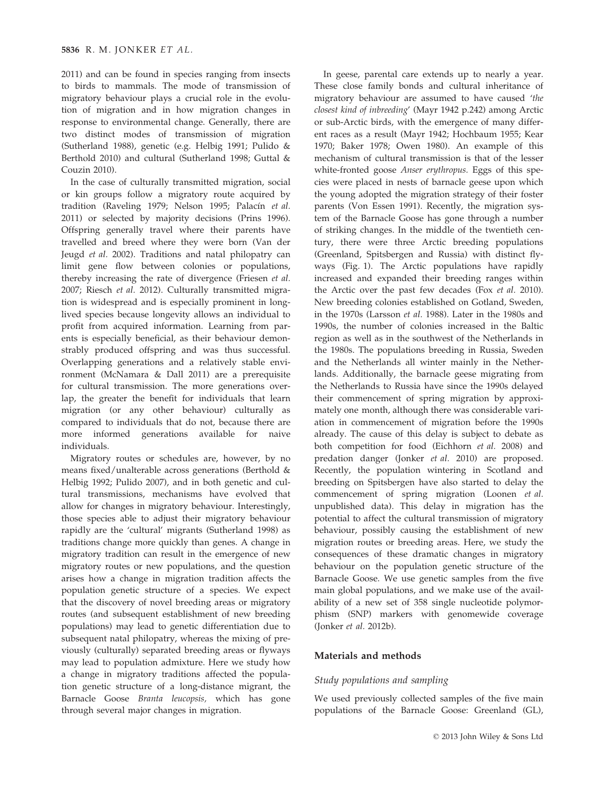2011) and can be found in species ranging from insects to birds to mammals. The mode of transmission of migratory behaviour plays a crucial role in the evolution of migration and in how migration changes in response to environmental change. Generally, there are two distinct modes of transmission of migration (Sutherland 1988), genetic (e.g. Helbig 1991; Pulido & Berthold 2010) and cultural (Sutherland 1998; Guttal & Couzin 2010).

In the case of culturally transmitted migration, social or kin groups follow a migratory route acquired by tradition (Raveling 1979; Nelson 1995; Palacín et al. 2011) or selected by majority decisions (Prins 1996). Offspring generally travel where their parents have travelled and breed where they were born (Van der Jeugd et al. 2002). Traditions and natal philopatry can limit gene flow between colonies or populations, thereby increasing the rate of divergence (Friesen et al. 2007; Riesch et al. 2012). Culturally transmitted migration is widespread and is especially prominent in longlived species because longevity allows an individual to profit from acquired information. Learning from parents is especially beneficial, as their behaviour demonstrably produced offspring and was thus successful. Overlapping generations and a relatively stable environment (McNamara & Dall 2011) are a prerequisite for cultural transmission. The more generations overlap, the greater the benefit for individuals that learn migration (or any other behaviour) culturally as compared to individuals that do not, because there are more informed generations available for naive individuals.

Migratory routes or schedules are, however, by no means fixed/unalterable across generations (Berthold & Helbig 1992; Pulido 2007), and in both genetic and cultural transmissions, mechanisms have evolved that allow for changes in migratory behaviour. Interestingly, those species able to adjust their migratory behaviour rapidly are the 'cultural' migrants (Sutherland 1998) as traditions change more quickly than genes. A change in migratory tradition can result in the emergence of new migratory routes or new populations, and the question arises how a change in migration tradition affects the population genetic structure of a species. We expect that the discovery of novel breeding areas or migratory routes (and subsequent establishment of new breeding populations) may lead to genetic differentiation due to subsequent natal philopatry, whereas the mixing of previously (culturally) separated breeding areas or flyways may lead to population admixture. Here we study how a change in migratory traditions affected the population genetic structure of a long-distance migrant, the Barnacle Goose Branta leucopsis, which has gone through several major changes in migration.

In geese, parental care extends up to nearly a year. These close family bonds and cultural inheritance of migratory behaviour are assumed to have caused 'the closest kind of inbreeding' (Mayr 1942 p.242) among Arctic or sub-Arctic birds, with the emergence of many different races as a result (Mayr 1942; Hochbaum 1955; Kear 1970; Baker 1978; Owen 1980). An example of this mechanism of cultural transmission is that of the lesser white-fronted goose Anser erythropus. Eggs of this species were placed in nests of barnacle geese upon which the young adopted the migration strategy of their foster parents (Von Essen 1991). Recently, the migration system of the Barnacle Goose has gone through a number of striking changes. In the middle of the twentieth century, there were three Arctic breeding populations (Greenland, Spitsbergen and Russia) with distinct flyways (Fig. 1). The Arctic populations have rapidly increased and expanded their breeding ranges within the Arctic over the past few decades (Fox et al. 2010). New breeding colonies established on Gotland, Sweden, in the 1970s (Larsson et al. 1988). Later in the 1980s and 1990s, the number of colonies increased in the Baltic region as well as in the southwest of the Netherlands in the 1980s. The populations breeding in Russia, Sweden and the Netherlands all winter mainly in the Netherlands. Additionally, the barnacle geese migrating from the Netherlands to Russia have since the 1990s delayed their commencement of spring migration by approximately one month, although there was considerable variation in commencement of migration before the 1990s already. The cause of this delay is subject to debate as both competition for food (Eichhorn et al. 2008) and predation danger (Jonker et al. 2010) are proposed. Recently, the population wintering in Scotland and breeding on Spitsbergen have also started to delay the commencement of spring migration (Loonen et al. unpublished data). This delay in migration has the potential to affect the cultural transmission of migratory behaviour, possibly causing the establishment of new migration routes or breeding areas. Here, we study the consequences of these dramatic changes in migratory behaviour on the population genetic structure of the Barnacle Goose. We use genetic samples from the five main global populations, and we make use of the availability of a new set of 358 single nucleotide polymorphism (SNP) markers with genomewide coverage (Jonker et al. 2012b).

# Materials and methods

# Study populations and sampling

We used previously collected samples of the five main populations of the Barnacle Goose: Greenland (GL),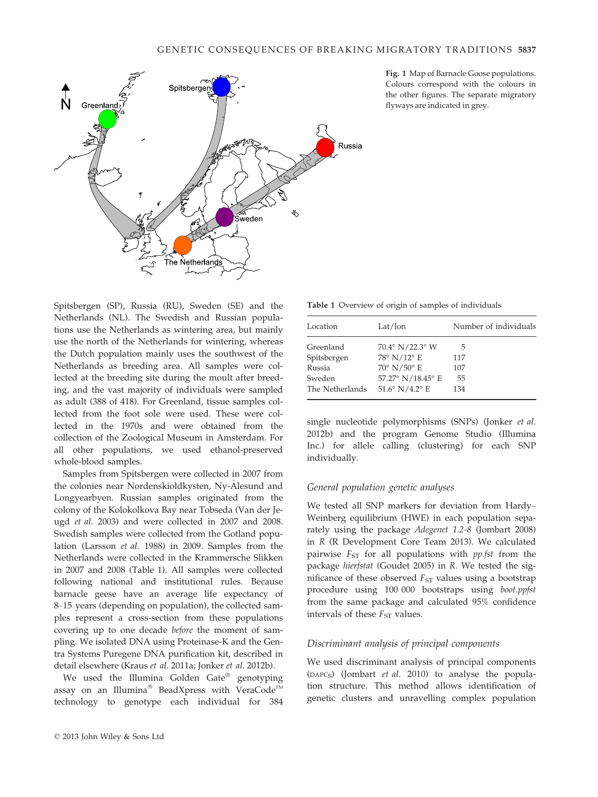

Fig. 1 Map of Barnacle Goose populations. Colours correspond with the colours in the other figures. The separate migratory flyways are indicated in grey.

Spitsbergen (SP), Russia (RU), Sweden (SE) and the Netherlands (NL). The Swedish and Russian populations use the Netherlands as wintering area, but mainly use the north of the Netherlands for wintering, whereas the Dutch population mainly uses the southwest of the Netherlands as breeding area. All samples were collected at the breeding site during the moult after breeding, and the vast majority of individuals were sampled as adult (388 of 418). For Greenland, tissue samples collected from the foot sole were used. These were collected in the 1970s and were obtained from the collection of the Zoological Museum in Amsterdam. For all other populations, we used ethanol-preserved whole-blood samples.

Samples from Spitsbergen were collected in 2007 from the colonies near Nordenskioldkysten, Ny-Alesund and Longyearbyen. Russian samples originated from the colony of the Kolokolkova Bay near Tobseda (Van der Jeugd et al. 2003) and were collected in 2007 and 2008. Swedish samples were collected from the Gotland population (Larsson et al. 1988) in 2009. Samples from the Netherlands were collected in the Krammersche Slikken in 2007 and 2008 (Table 1). All samples were collected following national and institutional rules. Because barnacle geese have an average life expectancy of 8–15 years (depending on population), the collected samples represent a cross-section from these populations covering up to one decade before the moment of sampling. We isolated DNA using Proteinase-K and the Gentra Systems Puregene DNA purification kit, described in detail elsewhere (Kraus et al. 2011a; Jonker et al. 2012b).

We used the Illumina Golden Gate® genotyping assay on an Illumina<sup>®</sup> BeadXpress with VeraCode<sup>TM</sup> technology to genotype each individual for 384

Table 1 Overview of origin of samples of individuals

| Location        | Lat/lon                           | Number of individuals |
|-----------------|-----------------------------------|-----------------------|
| Greenland       | 70.4° N/22.3° W                   | 5                     |
| Spitsbergen     | $78^\circ$ N/12 $^\circ$ E        | 117                   |
| Russia          | $70^{\circ}$ N/50 $^{\circ}$ E    | 107                   |
| Sweden          | 57.27° N/18.45° E                 | 55                    |
| The Netherlands | $51.6^{\circ}$ N/4.2 $^{\circ}$ E | 134                   |

single nucleotide polymorphisms (SNPs) (Jonker et al. 2012b) and the program Genome Studio (Illumina Inc.) for allele calling (clustering) for each SNP individually.

# General population genetic analyses

We tested all SNP markers for deviation from Hardy– Weinberg equilibrium (HWE) in each population separately using the package Adegenet 1.2-8 (Jombart 2008) in R (R Development Core Team 2013). We calculated pairwise  $F_{ST}$  for all populations with *pp.fst* from the package hierfstat (Goudet 2005) in R. We tested the significance of these observed  $F_{ST}$  values using a bootstrap procedure using 100 000 bootstraps using boot.ppfst from the same package and calculated 95% confidence intervals of these  $F_{ST}$  values.

# Discriminant analysis of principal components

We used discriminant analysis of principal components (DAPCS) (Jombart et al. 2010) to analyse the population structure. This method allows identification of genetic clusters and unravelling complex population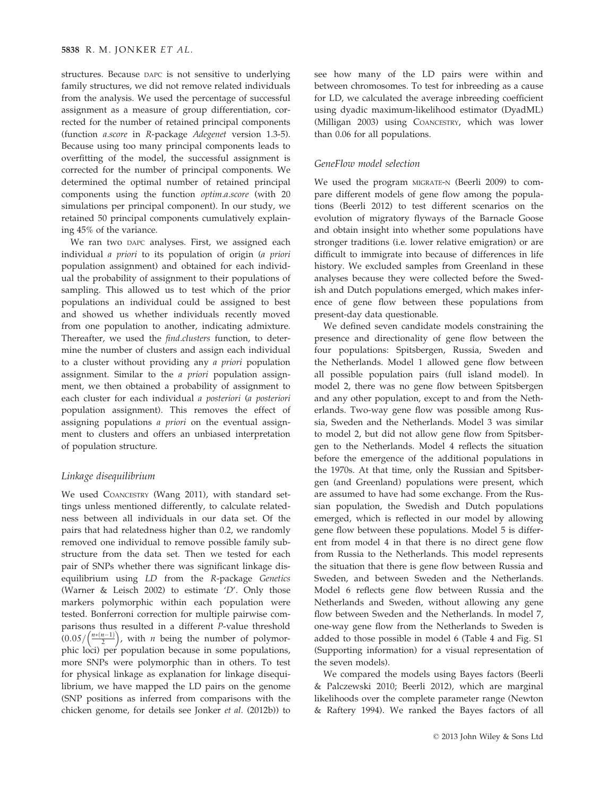structures. Because DAPC is not sensitive to underlying family structures, we did not remove related individuals from the analysis. We used the percentage of successful assignment as a measure of group differentiation, corrected for the number of retained principal components (function a.score in R-package Adegenet version 1.3-5). Because using too many principal components leads to overfitting of the model, the successful assignment is corrected for the number of principal components. We determined the optimal number of retained principal components using the function optim.a.score (with 20 simulations per principal component). In our study, we retained 50 principal components cumulatively explaining 45% of the variance.

We ran two DAPC analyses. First, we assigned each individual a priori to its population of origin (a priori population assignment) and obtained for each individual the probability of assignment to their populations of sampling. This allowed us to test which of the prior populations an individual could be assigned to best and showed us whether individuals recently moved from one population to another, indicating admixture. Thereafter, we used the *find.clusters* function, to determine the number of clusters and assign each individual to a cluster without providing any a priori population assignment. Similar to the a priori population assignment, we then obtained a probability of assignment to each cluster for each individual a posteriori (a posteriori population assignment). This removes the effect of assigning populations a priori on the eventual assignment to clusters and offers an unbiased interpretation of population structure.

# Linkage disequilibrium

We used COANCESTRY (Wang 2011), with standard settings unless mentioned differently, to calculate relatedness between all individuals in our data set. Of the pairs that had relatedness higher than 0.2, we randomly removed one individual to remove possible family substructure from the data set. Then we tested for each pair of SNPs whether there was significant linkage disequilibrium using LD from the R-package Genetics (Warner & Leisch 2002) to estimate 'D'. Only those markers polymorphic within each population were tested. Bonferroni correction for multiple pairwise comparisons thus resulted in a different P-value threshold  $(0.05/(\frac{n*(n-1)}{2})$ , with *n* being the number of polymorphic loci) per population because in some populations, more SNPs were polymorphic than in others. To test for physical linkage as explanation for linkage disequilibrium, we have mapped the LD pairs on the genome (SNP positions as inferred from comparisons with the chicken genome, for details see Jonker et al. (2012b)) to

see how many of the LD pairs were within and between chromosomes. To test for inbreeding as a cause for LD, we calculated the average inbreeding coefficient using dyadic maximum-likelihood estimator (DyadML) (Milligan 2003) using COANCESTRY, which was lower than 0.06 for all populations.

# GeneFlow model selection

We used the program MIGRATE-N (Beerli 2009) to compare different models of gene flow among the populations (Beerli 2012) to test different scenarios on the evolution of migratory flyways of the Barnacle Goose and obtain insight into whether some populations have stronger traditions (i.e. lower relative emigration) or are difficult to immigrate into because of differences in life history. We excluded samples from Greenland in these analyses because they were collected before the Swedish and Dutch populations emerged, which makes inference of gene flow between these populations from present-day data questionable.

We defined seven candidate models constraining the presence and directionality of gene flow between the four populations: Spitsbergen, Russia, Sweden and the Netherlands. Model 1 allowed gene flow between all possible population pairs (full island model). In model 2, there was no gene flow between Spitsbergen and any other population, except to and from the Netherlands. Two-way gene flow was possible among Russia, Sweden and the Netherlands. Model 3 was similar to model 2, but did not allow gene flow from Spitsbergen to the Netherlands. Model 4 reflects the situation before the emergence of the additional populations in the 1970s. At that time, only the Russian and Spitsbergen (and Greenland) populations were present, which are assumed to have had some exchange. From the Russian population, the Swedish and Dutch populations emerged, which is reflected in our model by allowing gene flow between these populations. Model 5 is different from model 4 in that there is no direct gene flow from Russia to the Netherlands. This model represents the situation that there is gene flow between Russia and Sweden, and between Sweden and the Netherlands. Model 6 reflects gene flow between Russia and the Netherlands and Sweden, without allowing any gene flow between Sweden and the Netherlands. In model 7, one-way gene flow from the Netherlands to Sweden is added to those possible in model 6 (Table 4 and Fig. S1 (Supporting information) for a visual representation of the seven models).

We compared the models using Bayes factors (Beerli & Palczewski 2010; Beerli 2012), which are marginal likelihoods over the complete parameter range (Newton & Raftery 1994). We ranked the Bayes factors of all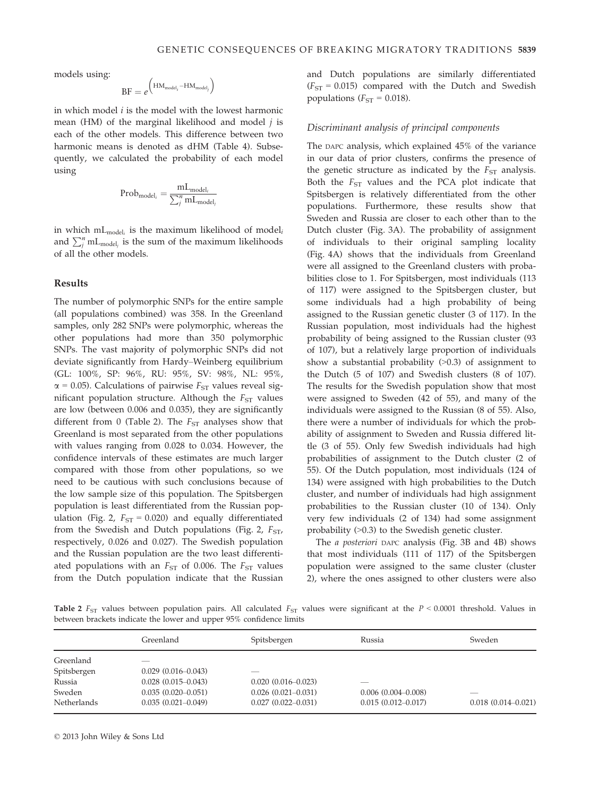models using:

$$
\text{BF} = e^{\left(\text{HM}_{model_i} - \text{HM}_{model_j}\right)}
$$

in which model  $i$  is the model with the lowest harmonic mean (HM) of the marginal likelihood and model  $j$  is each of the other models. This difference between two harmonic means is denoted as dHM (Table 4). Subsequently, we calculated the probability of each model using

$$
Prob_{model_i} = \frac{mL_{model_i}}{\sum_{j}^{n}mL_{model_j}}
$$

in which  $mL_{model_i}$  is the maximum likelihood of model<sub>i</sub> and  $\sum_{j}^{n}$  mL<sub>model<sub>j</sub> is the sum of the maximum likelihoods</sub> of all the other models.

#### Results

The number of polymorphic SNPs for the entire sample (all populations combined) was 358. In the Greenland samples, only 282 SNPs were polymorphic, whereas the other populations had more than 350 polymorphic SNPs. The vast majority of polymorphic SNPs did not deviate significantly from Hardy–Weinberg equilibrium (GL: 100%, SP: 96%, RU: 95%, SV: 98%, NL: 95%,  $\alpha$  = 0.05). Calculations of pairwise  $F_{ST}$  values reveal significant population structure. Although the  $F_{ST}$  values are low (between 0.006 and 0.035), they are significantly different from 0 (Table 2). The  $F_{ST}$  analyses show that Greenland is most separated from the other populations with values ranging from 0.028 to 0.034. However, the confidence intervals of these estimates are much larger compared with those from other populations, so we need to be cautious with such conclusions because of the low sample size of this population. The Spitsbergen population is least differentiated from the Russian population (Fig. 2,  $F_{ST} = 0.020$ ) and equally differentiated from the Swedish and Dutch populations (Fig. 2,  $F_{ST}$ , respectively, 0.026 and 0.027). The Swedish population and the Russian population are the two least differentiated populations with an  $F_{ST}$  of 0.006. The  $F_{ST}$  values from the Dutch population indicate that the Russian

and Dutch populations are similarly differentiated  $(F<sub>ST</sub> = 0.015)$  compared with the Dutch and Swedish populations ( $F_{ST} = 0.018$ ).

# Discriminant analysis of principal components

The DAPC analysis, which explained 45% of the variance in our data of prior clusters, confirms the presence of the genetic structure as indicated by the  $F_{ST}$  analysis. Both the  $F_{ST}$  values and the PCA plot indicate that Spitsbergen is relatively differentiated from the other populations. Furthermore, these results show that Sweden and Russia are closer to each other than to the Dutch cluster (Fig. 3A). The probability of assignment of individuals to their original sampling locality (Fig. 4A) shows that the individuals from Greenland were all assigned to the Greenland clusters with probabilities close to 1. For Spitsbergen, most individuals (113 of 117) were assigned to the Spitsbergen cluster, but some individuals had a high probability of being assigned to the Russian genetic cluster (3 of 117). In the Russian population, most individuals had the highest probability of being assigned to the Russian cluster (93 of 107), but a relatively large proportion of individuals show a substantial probability (>0.3) of assignment to the Dutch (5 of 107) and Swedish clusters (8 of 107). The results for the Swedish population show that most were assigned to Sweden (42 of 55), and many of the individuals were assigned to the Russian (8 of 55). Also, there were a number of individuals for which the probability of assignment to Sweden and Russia differed little (3 of 55). Only few Swedish individuals had high probabilities of assignment to the Dutch cluster (2 of 55). Of the Dutch population, most individuals (124 of 134) were assigned with high probabilities to the Dutch cluster, and number of individuals had high assignment probabilities to the Russian cluster (10 of 134). Only very few individuals (2 of 134) had some assignment probability (>0.3) to the Swedish genetic cluster.

The a posteriori DAPC analysis (Fig. 3B and 4B) shows that most individuals (111 of 117) of the Spitsbergen population were assigned to the same cluster (cluster 2), where the ones assigned to other clusters were also

Table 2  $F_{ST}$  values between population pairs. All calculated  $F_{ST}$  values were significant at the  $P \le 0.0001$  threshold. Values in between brackets indicate the lower and upper 95% confidence limits

|                    | Greenland              | Spitsbergen               | Russia                 | Sweden                 |
|--------------------|------------------------|---------------------------|------------------------|------------------------|
| Greenland          |                        |                           |                        |                        |
| Spitsbergen        | $0.029(0.016 - 0.043)$ | ___                       |                        |                        |
| Russia             | $0.028(0.015-0.043)$   | $0.020(0.016 - 0.023)$    | __                     |                        |
| Sweden             | $0.035(0.020-0.051)$   | $0.026$ $(0.021 - 0.031)$ | $0.006(0.004 - 0.008)$ |                        |
| <b>Netherlands</b> | $0.035(0.021-0.049)$   | $0.027(0.022 - 0.031)$    | $0.015(0.012 - 0.017)$ | $0.018(0.014 - 0.021)$ |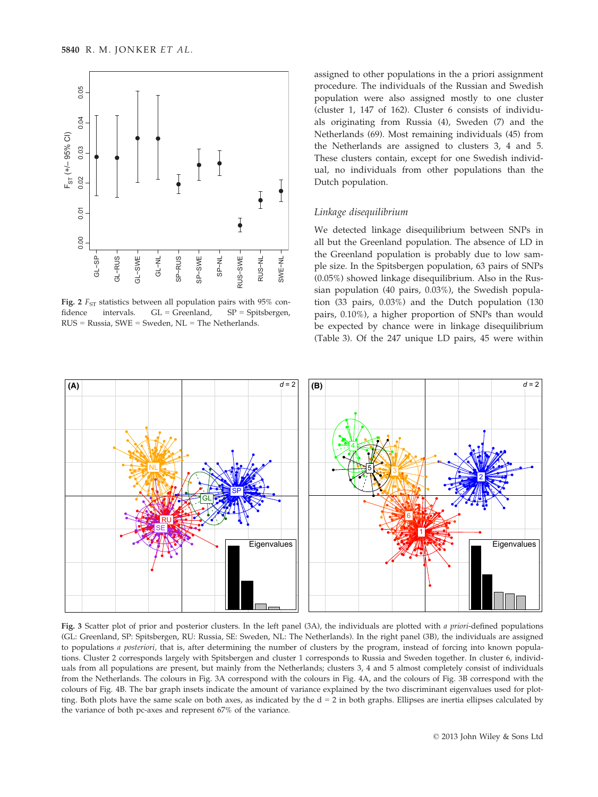

Fig. 2  $F_{ST}$  statistics between all population pairs with 95% confidence intervals.  $GL =$  Greenland,  $SP =$  Spitsbergen, RUS = Russia, SWE = Sweden, NL = The Netherlands.

assigned to other populations in the a priori assignment procedure. The individuals of the Russian and Swedish population were also assigned mostly to one cluster (cluster 1, 147 of 162). Cluster 6 consists of individuals originating from Russia (4), Sweden (7) and the Netherlands (69). Most remaining individuals (45) from the Netherlands are assigned to clusters 3, 4 and 5. These clusters contain, except for one Swedish individual, no individuals from other populations than the Dutch population.

#### Linkage disequilibrium

We detected linkage disequilibrium between SNPs in all but the Greenland population. The absence of LD in the Greenland population is probably due to low sample size. In the Spitsbergen population, 63 pairs of SNPs (0.05%) showed linkage disequilibrium. Also in the Russian population (40 pairs, 0.03%), the Swedish population (33 pairs, 0.03%) and the Dutch population (130 pairs, 0.10%), a higher proportion of SNPs than would be expected by chance were in linkage disequilibrium (Table 3). Of the 247 unique LD pairs, 45 were within



Fig. 3 Scatter plot of prior and posterior clusters. In the left panel (3A), the individuals are plotted with a priori-defined populations (GL: Greenland, SP: Spitsbergen, RU: Russia, SE: Sweden, NL: The Netherlands). In the right panel (3B), the individuals are assigned to populations a posteriori, that is, after determining the number of clusters by the program, instead of forcing into known populations. Cluster 2 corresponds largely with Spitsbergen and cluster 1 corresponds to Russia and Sweden together. In cluster 6, individuals from all populations are present, but mainly from the Netherlands; clusters 3, 4 and 5 almost completely consist of individuals from the Netherlands. The colours in Fig. 3A correspond with the colours in Fig. 4A, and the colours of Fig. 3B correspond with the colours of Fig. 4B. The bar graph insets indicate the amount of variance explained by the two discriminant eigenvalues used for plotting. Both plots have the same scale on both axes, as indicated by the d = 2 in both graphs. Ellipses are inertia ellipses calculated by the variance of both pc-axes and represent 67% of the variance.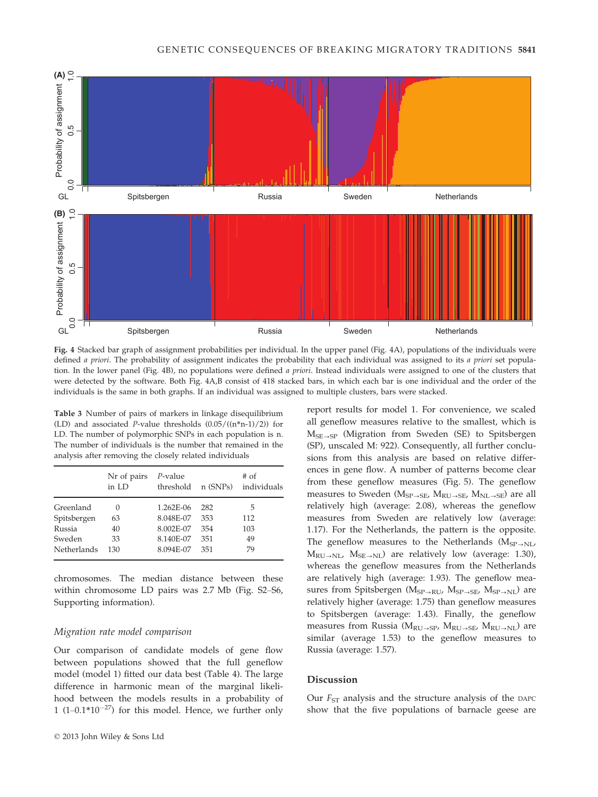

Fig. 4 Stacked bar graph of assignment probabilities per individual. In the upper panel (Fig. 4A), populations of the individuals were defined a priori. The probability of assignment indicates the probability that each individual was assigned to its a priori set population. In the lower panel (Fig. 4B), no populations were defined a priori. Instead individuals were assigned to one of the clusters that were detected by the software. Both Fig. 4A,B consist of 418 stacked bars, in which each bar is one individual and the order of the individuals is the same in both graphs. If an individual was assigned to multiple clusters, bars were stacked.

Table 3 Number of pairs of markers in linkage disequilibrium (LD) and associated P-value thresholds  $(0.05/((n*n-1)/2))$  for LD. The number of polymorphic SNPs in each population is n. The number of individuals is the number that remained in the analysis after removing the closely related individuals

|             | Nr of pairs<br>in LD | $P$ -value<br>threshold | $n$ (SNPs) | $#$ of<br>individuals |
|-------------|----------------------|-------------------------|------------|-----------------------|
| Greenland   | $\left( \right)$     | 1.262E-06               | 282        | 5                     |
| Spitsbergen | 63                   | 8.048E-07               | 353        | 112                   |
| Russia      | 40                   | 8.002E-07               | 354        | 103                   |
| Sweden      | 33                   | 8.140E-07               | 351        | 49                    |
| Netherlands | 130                  | 8.094E-07               | 351        | 79                    |

chromosomes. The median distance between these within chromosome LD pairs was 2.7 Mb (Fig. S2–S6, Supporting information).

# Migration rate model comparison

Our comparison of candidate models of gene flow between populations showed that the full geneflow model (model 1) fitted our data best (Table 4). The large difference in harmonic mean of the marginal likelihood between the models results in a probability of 1 (1–0.1 $*10^{-27}$ ) for this model. Hence, we further only report results for model 1. For convenience, we scaled all geneflow measures relative to the smallest, which is  $M_{SE\rightarrow SP}$  (Migration from Sweden (SE) to Spitsbergen (SP), unscaled M: 922). Consequently, all further conclusions from this analysis are based on relative differences in gene flow. A number of patterns become clear from these geneflow measures (Fig. 5). The geneflow measures to Sweden ( $M_{SP\rightarrow SE}$ ,  $M_{RU\rightarrow SE}$ ,  $M_{NL\rightarrow SE}$ ) are all relatively high (average: 2.08), whereas the geneflow measures from Sweden are relatively low (average: 1.17). For the Netherlands, the pattern is the opposite. The geneflow measures to the Netherlands  $(M_{SP\rightarrow NL}$ ,  $M_{RU\rightarrow NL}$ ,  $M_{SE\rightarrow NL}$ ) are relatively low (average: 1.30), whereas the geneflow measures from the Netherlands are relatively high (average: 1.93). The geneflow measures from Spitsbergen ( $M_{SP\rightarrow RU}$ ,  $M_{SP\rightarrow SE}$ ,  $M_{SP\rightarrow NL}$ ) are relatively higher (average: 1.75) than geneflow measures to Spitsbergen (average: 1.43). Finally, the geneflow measures from Russia ( $M_{RU\rightarrow SP}$ ,  $M_{RU\rightarrow SE}$ ,  $M_{RU\rightarrow NL}$ ) are similar (average 1.53) to the geneflow measures to Russia (average: 1.57).

# Discussion

Our  $F_{ST}$  analysis and the structure analysis of the DAPC show that the five populations of barnacle geese are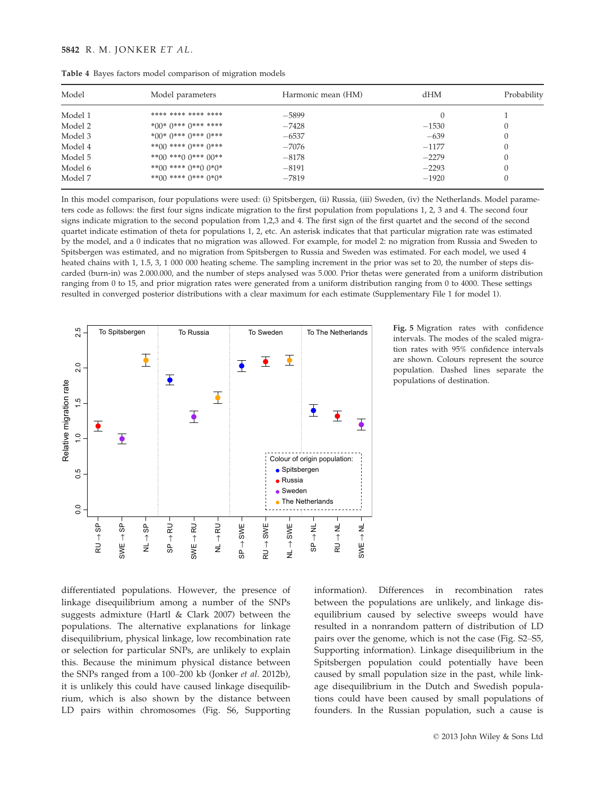| Model   | Model parameters           | Harmonic mean (HM) | $d$ HM  | Probability |
|---------|----------------------------|--------------------|---------|-------------|
| Model 1 | **** **** **** ****        | $-5899$            |         |             |
| Model 2 | *00* 0*** 0*** ****        | $-7428$            | $-1530$ |             |
| Model 3 | *00* 0*** 0*** 0***        | $-6537$            | $-639$  |             |
| Model 4 | **()() **** ()*** ()***    | $-7076$            | $-1177$ |             |
| Model 5 | **00 ***0 $0$ *** 00**     | $-8178$            | $-2279$ |             |
| Model 6 | **00 **** $0$ **0 $0$ *0*  | $-8191$            | $-2293$ |             |
| Model 7 | **00 **** $0$ *** $0$ *()* | $-7819$            | $-1920$ |             |

Table 4 Bayes factors model comparison of migration models

In this model comparison, four populations were used: (i) Spitsbergen, (ii) Russia, (iii) Sweden, (iv) the Netherlands. Model parameters code as follows: the first four signs indicate migration to the first population from populations 1, 2, 3 and 4. The second four signs indicate migration to the second population from 1,2,3 and 4. The first sign of the first quartet and the second of the second quartet indicate estimation of theta for populations 1, 2, etc. An asterisk indicates that that particular migration rate was estimated by the model, and a 0 indicates that no migration was allowed. For example, for model 2: no migration from Russia and Sweden to Spitsbergen was estimated, and no migration from Spitsbergen to Russia and Sweden was estimated. For each model, we used 4 heated chains with 1, 1.5, 3, 1 000 000 heating scheme. The sampling increment in the prior was set to 20, the number of steps discarded (burn-in) was 2.000.000, and the number of steps analysed was 5.000. Prior thetas were generated from a uniform distribution ranging from 0 to 15, and prior migration rates were generated from a uniform distribution ranging from 0 to 4000. These settings resulted in converged posterior distributions with a clear maximum for each estimate (Supplementary File 1 for model 1).



Fig. 5 Migration rates with confidence intervals. The modes of the scaled migration rates with 95% confidence intervals are shown. Colours represent the source population. Dashed lines separate the populations of destination.

differentiated populations. However, the presence of linkage disequilibrium among a number of the SNPs suggests admixture (Hartl & Clark 2007) between the populations. The alternative explanations for linkage disequilibrium, physical linkage, low recombination rate or selection for particular SNPs, are unlikely to explain this. Because the minimum physical distance between the SNPs ranged from a 100–200 kb (Jonker et al. 2012b), it is unlikely this could have caused linkage disequilibrium, which is also shown by the distance between LD pairs within chromosomes (Fig. S6, Supporting

information). Differences in recombination rates between the populations are unlikely, and linkage disequilibrium caused by selective sweeps would have resulted in a nonrandom pattern of distribution of LD pairs over the genome, which is not the case (Fig. S2–S5, Supporting information). Linkage disequilibrium in the Spitsbergen population could potentially have been caused by small population size in the past, while linkage disequilibrium in the Dutch and Swedish populations could have been caused by small populations of founders. In the Russian population, such a cause is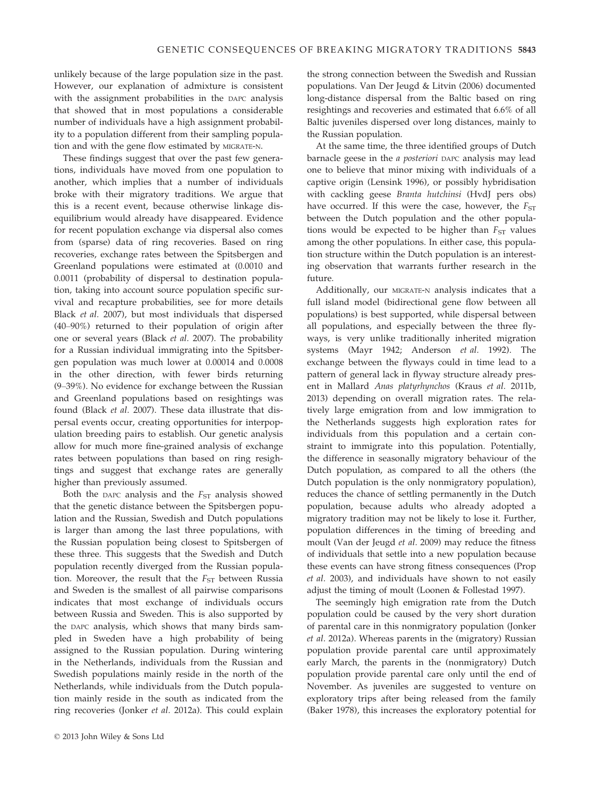unlikely because of the large population size in the past. However, our explanation of admixture is consistent with the assignment probabilities in the DAPC analysis that showed that in most populations a considerable number of individuals have a high assignment probability to a population different from their sampling population and with the gene flow estimated by MIGRATE-N.

These findings suggest that over the past few generations, individuals have moved from one population to another, which implies that a number of individuals broke with their migratory traditions. We argue that this is a recent event, because otherwise linkage disequilibrium would already have disappeared. Evidence for recent population exchange via dispersal also comes from (sparse) data of ring recoveries. Based on ring recoveries, exchange rates between the Spitsbergen and Greenland populations were estimated at (0.0010 and 0.0011 (probability of dispersal to destination population, taking into account source population specific survival and recapture probabilities, see for more details Black et al. 2007), but most individuals that dispersed (40–90%) returned to their population of origin after one or several years (Black et al. 2007). The probability for a Russian individual immigrating into the Spitsbergen population was much lower at 0.00014 and 0.0008 in the other direction, with fewer birds returning (9–39%). No evidence for exchange between the Russian and Greenland populations based on resightings was found (Black et al. 2007). These data illustrate that dispersal events occur, creating opportunities for interpopulation breeding pairs to establish. Our genetic analysis allow for much more fine-grained analysis of exchange rates between populations than based on ring resightings and suggest that exchange rates are generally higher than previously assumed.

Both the DAPC analysis and the  $F_{ST}$  analysis showed that the genetic distance between the Spitsbergen population and the Russian, Swedish and Dutch populations is larger than among the last three populations, with the Russian population being closest to Spitsbergen of these three. This suggests that the Swedish and Dutch population recently diverged from the Russian population. Moreover, the result that the  $F_{ST}$  between Russia and Sweden is the smallest of all pairwise comparisons indicates that most exchange of individuals occurs between Russia and Sweden. This is also supported by the DAPC analysis, which shows that many birds sampled in Sweden have a high probability of being assigned to the Russian population. During wintering in the Netherlands, individuals from the Russian and Swedish populations mainly reside in the north of the Netherlands, while individuals from the Dutch population mainly reside in the south as indicated from the ring recoveries (Jonker et al. 2012a). This could explain the strong connection between the Swedish and Russian populations. Van Der Jeugd & Litvin (2006) documented long-distance dispersal from the Baltic based on ring resightings and recoveries and estimated that 6.6% of all Baltic juveniles dispersed over long distances, mainly to the Russian population.

At the same time, the three identified groups of Dutch barnacle geese in the *a posteriori* DAPC analysis may lead one to believe that minor mixing with individuals of a captive origin (Lensink 1996), or possibly hybridisation with cackling geese Branta hutchinsi (HvdJ pers obs) have occurred. If this were the case, however, the  $F_{ST}$ between the Dutch population and the other populations would be expected to be higher than  $F_{ST}$  values among the other populations. In either case, this population structure within the Dutch population is an interesting observation that warrants further research in the future.

Additionally, our MIGRATE-N analysis indicates that a full island model (bidirectional gene flow between all populations) is best supported, while dispersal between all populations, and especially between the three flyways, is very unlike traditionally inherited migration systems (Mayr 1942; Anderson et al. 1992). The exchange between the flyways could in time lead to a pattern of general lack in flyway structure already present in Mallard Anas platyrhynchos (Kraus et al. 2011b, 2013) depending on overall migration rates. The relatively large emigration from and low immigration to the Netherlands suggests high exploration rates for individuals from this population and a certain constraint to immigrate into this population. Potentially, the difference in seasonally migratory behaviour of the Dutch population, as compared to all the others (the Dutch population is the only nonmigratory population), reduces the chance of settling permanently in the Dutch population, because adults who already adopted a migratory tradition may not be likely to lose it. Further, population differences in the timing of breeding and moult (Van der Jeugd et al. 2009) may reduce the fitness of individuals that settle into a new population because these events can have strong fitness consequences (Prop et al. 2003), and individuals have shown to not easily adjust the timing of moult (Loonen & Follestad 1997).

The seemingly high emigration rate from the Dutch population could be caused by the very short duration of parental care in this nonmigratory population (Jonker et al. 2012a). Whereas parents in the (migratory) Russian population provide parental care until approximately early March, the parents in the (nonmigratory) Dutch population provide parental care only until the end of November. As juveniles are suggested to venture on exploratory trips after being released from the family (Baker 1978), this increases the exploratory potential for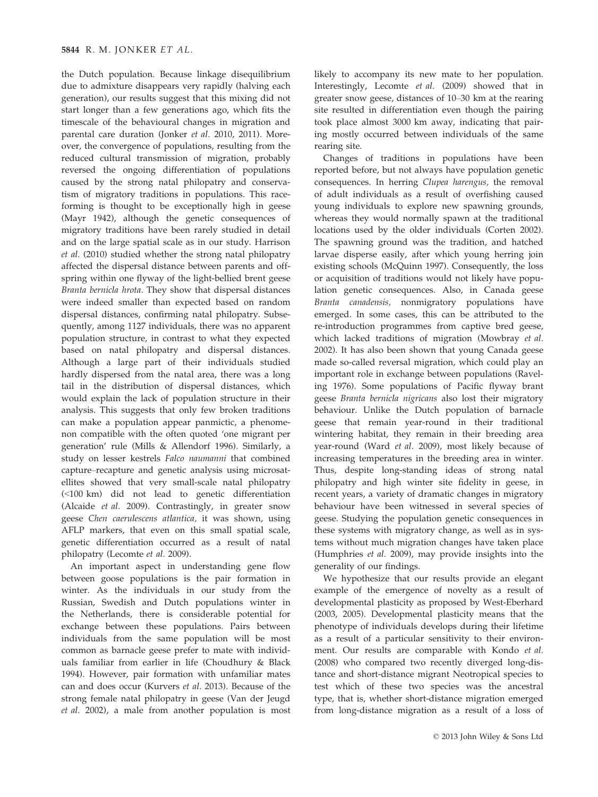the Dutch population. Because linkage disequilibrium due to admixture disappears very rapidly (halving each generation), our results suggest that this mixing did not start longer than a few generations ago, which fits the timescale of the behavioural changes in migration and parental care duration (Jonker et al. 2010, 2011). Moreover, the convergence of populations, resulting from the reduced cultural transmission of migration, probably reversed the ongoing differentiation of populations caused by the strong natal philopatry and conservatism of migratory traditions in populations. This raceforming is thought to be exceptionally high in geese (Mayr 1942), although the genetic consequences of migratory traditions have been rarely studied in detail and on the large spatial scale as in our study. Harrison et al. (2010) studied whether the strong natal philopatry affected the dispersal distance between parents and offspring within one flyway of the light-bellied brent geese Branta bernicla hrota. They show that dispersal distances were indeed smaller than expected based on random dispersal distances, confirming natal philopatry. Subsequently, among 1127 individuals, there was no apparent population structure, in contrast to what they expected based on natal philopatry and dispersal distances. Although a large part of their individuals studied hardly dispersed from the natal area, there was a long tail in the distribution of dispersal distances, which would explain the lack of population structure in their analysis. This suggests that only few broken traditions can make a population appear panmictic, a phenomenon compatible with the often quoted 'one migrant per generation' rule (Mills & Allendorf 1996). Similarly, a study on lesser kestrels Falco naumanni that combined capture–recapture and genetic analysis using microsatellites showed that very small-scale natal philopatry (<100 km) did not lead to genetic differentiation (Alcaide et al. 2009). Contrastingly, in greater snow geese Chen caerulescens atlantica, it was shown, using AFLP markers, that even on this small spatial scale, genetic differentiation occurred as a result of natal philopatry (Lecomte et al. 2009).

An important aspect in understanding gene flow between goose populations is the pair formation in winter. As the individuals in our study from the Russian, Swedish and Dutch populations winter in the Netherlands, there is considerable potential for exchange between these populations. Pairs between individuals from the same population will be most common as barnacle geese prefer to mate with individuals familiar from earlier in life (Choudhury & Black 1994). However, pair formation with unfamiliar mates can and does occur (Kurvers et al. 2013). Because of the strong female natal philopatry in geese (Van der Jeugd et al. 2002), a male from another population is most

likely to accompany its new mate to her population. Interestingly, Lecomte et al. (2009) showed that in greater snow geese, distances of 10–30 km at the rearing site resulted in differentiation even though the pairing took place almost 3000 km away, indicating that pairing mostly occurred between individuals of the same rearing site.

Changes of traditions in populations have been reported before, but not always have population genetic consequences. In herring Clupea harengus, the removal of adult individuals as a result of overfishing caused young individuals to explore new spawning grounds, whereas they would normally spawn at the traditional locations used by the older individuals (Corten 2002). The spawning ground was the tradition, and hatched larvae disperse easily, after which young herring join existing schools (McQuinn 1997). Consequently, the loss or acquisition of traditions would not likely have population genetic consequences. Also, in Canada geese Branta canadensis, nonmigratory populations have emerged. In some cases, this can be attributed to the re-introduction programmes from captive bred geese, which lacked traditions of migration (Mowbray et al. 2002). It has also been shown that young Canada geese made so-called reversal migration, which could play an important role in exchange between populations (Raveling 1976). Some populations of Pacific flyway brant geese Branta bernicla nigricans also lost their migratory behaviour. Unlike the Dutch population of barnacle geese that remain year-round in their traditional wintering habitat, they remain in their breeding area year-round (Ward et al. 2009), most likely because of increasing temperatures in the breeding area in winter. Thus, despite long-standing ideas of strong natal philopatry and high winter site fidelity in geese, in recent years, a variety of dramatic changes in migratory behaviour have been witnessed in several species of geese. Studying the population genetic consequences in these systems with migratory change, as well as in systems without much migration changes have taken place (Humphries et al. 2009), may provide insights into the generality of our findings.

We hypothesize that our results provide an elegant example of the emergence of novelty as a result of developmental plasticity as proposed by West-Eberhard (2003, 2005). Developmental plasticity means that the phenotype of individuals develops during their lifetime as a result of a particular sensitivity to their environment. Our results are comparable with Kondo et al. (2008) who compared two recently diverged long-distance and short-distance migrant Neotropical species to test which of these two species was the ancestral type, that is, whether short-distance migration emerged from long-distance migration as a result of a loss of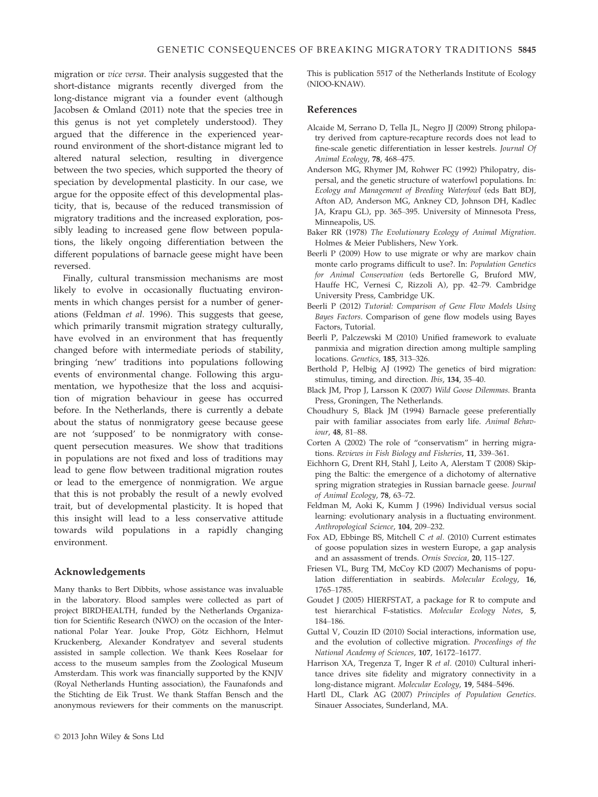migration or vice versa. Their analysis suggested that the short-distance migrants recently diverged from the long-distance migrant via a founder event (although Jacobsen & Omland (2011) note that the species tree in this genus is not yet completely understood). They argued that the difference in the experienced yearround environment of the short-distance migrant led to altered natural selection, resulting in divergence between the two species, which supported the theory of speciation by developmental plasticity. In our case, we argue for the opposite effect of this developmental plasticity, that is, because of the reduced transmission of migratory traditions and the increased exploration, possibly leading to increased gene flow between populations, the likely ongoing differentiation between the different populations of barnacle geese might have been reversed.

Finally, cultural transmission mechanisms are most likely to evolve in occasionally fluctuating environments in which changes persist for a number of generations (Feldman et al. 1996). This suggests that geese, which primarily transmit migration strategy culturally, have evolved in an environment that has frequently changed before with intermediate periods of stability, bringing 'new' traditions into populations following events of environmental change. Following this argumentation, we hypothesize that the loss and acquisition of migration behaviour in geese has occurred before. In the Netherlands, there is currently a debate about the status of nonmigratory geese because geese are not 'supposed' to be nonmigratory with consequent persecution measures. We show that traditions in populations are not fixed and loss of traditions may lead to gene flow between traditional migration routes or lead to the emergence of nonmigration. We argue that this is not probably the result of a newly evolved trait, but of developmental plasticity. It is hoped that this insight will lead to a less conservative attitude towards wild populations in a rapidly changing environment.

# Acknowledgements

Many thanks to Bert Dibbits, whose assistance was invaluable in the laboratory. Blood samples were collected as part of project BIRDHEALTH, funded by the Netherlands Organization for Scientific Research (NWO) on the occasion of the International Polar Year. Jouke Prop, Götz Eichhorn, Helmut Kruckenberg, Alexander Kondratyev and several students assisted in sample collection. We thank Kees Roselaar for access to the museum samples from the Zoological Museum Amsterdam. This work was financially supported by the KNJV (Royal Netherlands Hunting association), the Faunafonds and the Stichting de Eik Trust. We thank Staffan Bensch and the anonymous reviewers for their comments on the manuscript.

### References

- Alcaide M, Serrano D, Tella JL, Negro JJ (2009) Strong philopatry derived from capture-recapture records does not lead to fine-scale genetic differentiation in lesser kestrels. Journal Of Animal Ecology, 78, 468–475.
- Anderson MG, Rhymer JM, Rohwer FC (1992) Philopatry, dispersal, and the genetic structure of waterfowl populations. In: Ecology and Management of Breeding Waterfowl (eds Batt BDJ, Afton AD, Anderson MG, Ankney CD, Johnson DH, Kadlec JA, Krapu GL), pp. 365–395. University of Minnesota Press, Minneapolis, US.
- Baker RR (1978) The Evolutionary Ecology of Animal Migration. Holmes & Meier Publishers, New York.
- Beerli P (2009) How to use migrate or why are markov chain monte carlo programs difficult to use?. In: Population Genetics for Animal Conservation (eds Bertorelle G, Bruford MW, Hauffe HC, Vernesi C, Rizzoli A), pp. 42–79. Cambridge University Press, Cambridge UK.
- Beerli P (2012) Tutorial: Comparison of Gene Flow Models Using Bayes Factors. Comparison of gene flow models using Bayes Factors, Tutorial.
- Beerli P, Palczewski M (2010) Unified framework to evaluate panmixia and migration direction among multiple sampling locations. Genetics, 185, 313–326.
- Berthold P, Helbig AJ (1992) The genetics of bird migration: stimulus, timing, and direction. Ibis, 134, 35–40.
- Black JM, Prop J, Larsson K (2007) Wild Goose Dilemmas. Branta Press, Groningen, The Netherlands.
- Choudhury S, Black JM (1994) Barnacle geese preferentially pair with familiar associates from early life. Animal Behaviour, 48, 81–88.
- Corten A (2002) The role of "conservatism" in herring migrations. Reviews in Fish Biology and Fisheries, 11, 339–361.
- Eichhorn G, Drent RH, Stahl J, Leito A, Alerstam T (2008) Skipping the Baltic: the emergence of a dichotomy of alternative spring migration strategies in Russian barnacle geese. Journal of Animal Ecology, 78, 63–72.
- Feldman M, Aoki K, Kumm J (1996) Individual versus social learning: evolutionary analysis in a fluctuating environment. Anthropological Science, 104, 209–232.
- Fox AD, Ebbinge BS, Mitchell C et al. (2010) Current estimates of goose population sizes in western Europe, a gap analysis and an assassment of trends. Ornis Svecica, 20, 115–127.
- Friesen VL, Burg TM, McCoy KD (2007) Mechanisms of population differentiation in seabirds. Molecular Ecology, 16, 1765–1785.
- Goudet J (2005) HIERFSTAT, a package for R to compute and test hierarchical F-statistics. Molecular Ecology Notes, 5, 184–186.
- Guttal V, Couzin ID (2010) Social interactions, information use, and the evolution of collective migration. Proceedings of the National Academy of Sciences, 107, 16172–16177.
- Harrison XA, Tregenza T, Inger R et al. (2010) Cultural inheritance drives site fidelity and migratory connectivity in a long-distance migrant. Molecular Ecology, 19, 5484–5496.
- Hartl DL, Clark AG (2007) Principles of Population Genetics. Sinauer Associates, Sunderland, MA.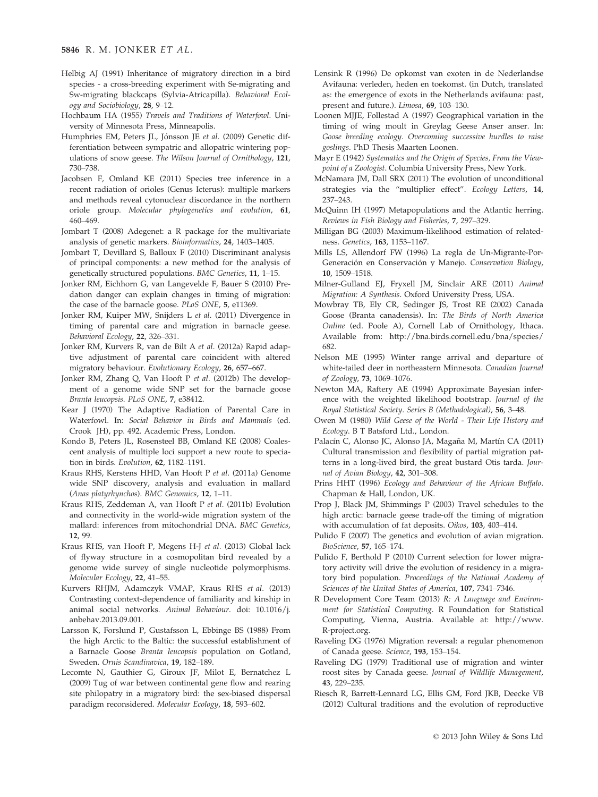- Helbig AJ (1991) Inheritance of migratory direction in a bird species - a cross-breeding experiment with Se-migrating and Sw-migrating blackcaps (Sylvia-Atricapilla). Behavioral Ecology and Sociobiology, 28, 9–12.
- Hochbaum HA (1955) Travels and Traditions of Waterfowl. University of Minnesota Press, Minneapolis.
- Humphries EM, Peters JL, Jónsson JE *et al*. (2009) Genetic differentiation between sympatric and allopatric wintering populations of snow geese. The Wilson Journal of Ornithology, 121, 730–738.
- Jacobsen F, Omland KE (2011) Species tree inference in a recent radiation of orioles (Genus Icterus): multiple markers and methods reveal cytonuclear discordance in the northern oriole group. Molecular phylogenetics and evolution, 61, 460–469.
- Jombart T (2008) Adegenet: a R package for the multivariate analysis of genetic markers. Bioinformatics, 24, 1403–1405.
- Jombart T, Devillard S, Balloux F (2010) Discriminant analysis of principal components: a new method for the analysis of genetically structured populations. BMC Genetics, 11, 1–15.
- Jonker RM, Eichhorn G, van Langevelde F, Bauer S (2010) Predation danger can explain changes in timing of migration: the case of the barnacle goose. PLoS ONE, 5, e11369.
- Jonker RM, Kuiper MW, Snijders L et al. (2011) Divergence in timing of parental care and migration in barnacle geese. Behavioral Ecology, 22, 326–331.
- Jonker RM, Kurvers R, van de Bilt A et al. (2012a) Rapid adaptive adjustment of parental care coincident with altered migratory behaviour. Evolutionary Ecology, 26, 657–667.
- Jonker RM, Zhang Q, Van Hooft P et al. (2012b) The development of a genome wide SNP set for the barnacle goose Branta leucopsis. PLoS ONE, 7, e38412.
- Kear J (1970) The Adaptive Radiation of Parental Care in Waterfowl. In: Social Behavior in Birds and Mammals (ed. Crook JH), pp. 492. Academic Press, London.
- Kondo B, Peters JL, Rosensteel BB, Omland KE (2008) Coalescent analysis of multiple loci support a new route to speciation in birds. Evolution, 62, 1182–1191.
- Kraus RHS, Kerstens HHD, Van Hooft P et al. (2011a) Genome wide SNP discovery, analysis and evaluation in mallard (Anas platyrhynchos). BMC Genomics, 12, 1–11.
- Kraus RHS, Zeddeman A, van Hooft P et al. (2011b) Evolution and connectivity in the world-wide migration system of the mallard: inferences from mitochondrial DNA. BMC Genetics, 12, 99.
- Kraus RHS, van Hooft P, Megens H-J et al. (2013) Global lack of flyway structure in a cosmopolitan bird revealed by a genome wide survey of single nucleotide polymorphisms. Molecular Ecology, 22, 41–55.
- Kurvers RHJM, Adamczyk VMAP, Kraus RHS et al. (2013) Contrasting context-dependence of familiarity and kinship in animal social networks. Animal Behaviour. doi: 10.1016/j. anbehav.2013.09.001.
- Larsson K, Forslund P, Gustafsson L, Ebbinge BS (1988) From the high Arctic to the Baltic: the successful establishment of a Barnacle Goose Branta leucopsis population on Gotland, Sweden. Ornis Scandinavica, 19, 182–189.
- Lecomte N, Gauthier G, Giroux JF, Milot E, Bernatchez L (2009) Tug of war between continental gene flow and rearing site philopatry in a migratory bird: the sex-biased dispersal paradigm reconsidered. Molecular Ecology, 18, 593–602.
- Lensink R (1996) De opkomst van exoten in de Nederlandse Avifauna: verleden, heden en toekomst. (in Dutch, translated as: the emergence of exots in the Netherlands avifauna: past, present and future.). Limosa, 69, 103–130.
- Loonen MJJE, Follestad A (1997) Geographical variation in the timing of wing moult in Greylag Geese Anser anser. In: Goose breeding ecology. Overcoming successive hurdles to raise goslings. PhD Thesis Maarten Loonen.
- Mayr E (1942) Systematics and the Origin of Species, From the Viewpoint of a Zoologist. Columbia University Press, New York.
- McNamara JM, Dall SRX (2011) The evolution of unconditional strategies via the "multiplier effect". Ecology Letters, 14, 237–243.
- McQuinn IH (1997) Metapopulations and the Atlantic herring. Reviews in Fish Biology and Fisheries, 7, 297–329.
- Milligan BG (2003) Maximum-likelihood estimation of relatedness. Genetics, 163, 1153–1167.
- Mills LS, Allendorf FW (1996) La regla de Un-Migrante-Por-Generación en Conservación y Manejo. Conservation Biology, 10, 1509–1518.
- Milner-Gulland EJ, Fryxell JM, Sinclair ARE (2011) Animal Migration: A Synthesis. Oxford University Press, USA.
- Mowbray TB, Ely CR, Sedinger JS, Trost RE (2002) Canada Goose (Branta canadensis). In: The Birds of North America Online (ed. Poole A), Cornell Lab of Ornithology, Ithaca. Available from: http://bna.birds.cornell.edu/bna/species/ 682.
- Nelson ME (1995) Winter range arrival and departure of white-tailed deer in northeastern Minnesota. Canadian Journal of Zoology, 73, 1069–1076.
- Newton MA, Raftery AE (1994) Approximate Bayesian inference with the weighted likelihood bootstrap. Journal of the Royal Statistical Society. Series B (Methodological), 56, 3–48.
- Owen M (1980) Wild Geese of the World Their Life History and Ecology. B T Batsford Ltd., London.
- Palacín C, Alonso JC, Alonso JA, Magaña M, Martín CA (2011) Cultural transmission and flexibility of partial migration patterns in a long-lived bird, the great bustard Otis tarda. Journal of Avian Biology, 42, 301–308.
- Prins HHT (1996) Ecology and Behaviour of the African Buffalo. Chapman & Hall, London, UK.
- Prop J, Black JM, Shimmings P (2003) Travel schedules to the high arctic: barnacle geese trade-off the timing of migration with accumulation of fat deposits. Oikos, 103, 403–414.
- Pulido F (2007) The genetics and evolution of avian migration. BioScience, 57, 165–174.
- Pulido F, Berthold P (2010) Current selection for lower migratory activity will drive the evolution of residency in a migratory bird population. Proceedings of the National Academy of Sciences of the United States of America, 107, 7341–7346.
- R Development Core Team (2013) R: A Language and Environment for Statistical Computing. R Foundation for Statistical Computing, Vienna, Austria. Available at: http://www. R-project.org.
- Raveling DG (1976) Migration reversal: a regular phenomenon of Canada geese. Science, 193, 153–154.
- Raveling DG (1979) Traditional use of migration and winter roost sites by Canada geese. Journal of Wildlife Management, 43, 229–235.
- Riesch R, Barrett-Lennard LG, Ellis GM, Ford JKB, Deecke VB (2012) Cultural traditions and the evolution of reproductive